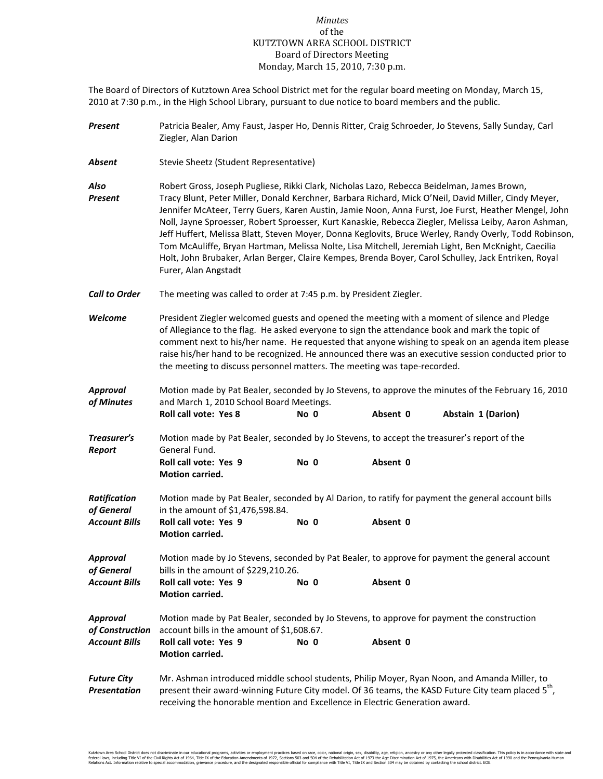## *Minutes* of the KUTZTOWN AREA SCHOOL DISTRICT Board of Directors Meeting Monday, March 15, 2010, 7:30 p.m.

The Board of Directors of Kutztown Area School District met for the regular board meeting on Monday, March 15, 2010 at 7:30 p.m., in the High School Library, pursuant to due notice to board members and the public.

| Present                                                   | Patricia Bealer, Amy Faust, Jasper Ho, Dennis Ritter, Craig Schroeder, Jo Stevens, Sally Sunday, Carl<br>Ziegler, Alan Darion                                                                                                                                                                                                                                                                                                                                                                                                                                                                                                                                                                                                                                       |      |          |                                                                                                                          |  |
|-----------------------------------------------------------|---------------------------------------------------------------------------------------------------------------------------------------------------------------------------------------------------------------------------------------------------------------------------------------------------------------------------------------------------------------------------------------------------------------------------------------------------------------------------------------------------------------------------------------------------------------------------------------------------------------------------------------------------------------------------------------------------------------------------------------------------------------------|------|----------|--------------------------------------------------------------------------------------------------------------------------|--|
| Absent                                                    | Stevie Sheetz (Student Representative)                                                                                                                                                                                                                                                                                                                                                                                                                                                                                                                                                                                                                                                                                                                              |      |          |                                                                                                                          |  |
| Also<br><b>Present</b>                                    | Robert Gross, Joseph Pugliese, Rikki Clark, Nicholas Lazo, Rebecca Beidelman, James Brown,<br>Tracy Blunt, Peter Miller, Donald Kerchner, Barbara Richard, Mick O'Neil, David Miller, Cindy Meyer,<br>Jennifer McAteer, Terry Guers, Karen Austin, Jamie Noon, Anna Furst, Joe Furst, Heather Mengel, John<br>Noll, Jayne Sproesser, Robert Sproesser, Kurt Kanaskie, Rebecca Ziegler, Melissa Leiby, Aaron Ashman,<br>Jeff Huffert, Melissa Blatt, Steven Moyer, Donna Keglovits, Bruce Werley, Randy Overly, Todd Robinson,<br>Tom McAuliffe, Bryan Hartman, Melissa Nolte, Lisa Mitchell, Jeremiah Light, Ben McKnight, Caecilia<br>Holt, John Brubaker, Arlan Berger, Claire Kempes, Brenda Boyer, Carol Schulley, Jack Entriken, Royal<br>Furer, Alan Angstadt |      |          |                                                                                                                          |  |
| <b>Call to Order</b>                                      | The meeting was called to order at 7:45 p.m. by President Ziegler.                                                                                                                                                                                                                                                                                                                                                                                                                                                                                                                                                                                                                                                                                                  |      |          |                                                                                                                          |  |
| Welcome                                                   | President Ziegler welcomed guests and opened the meeting with a moment of silence and Pledge<br>of Allegiance to the flag. He asked everyone to sign the attendance book and mark the topic of<br>comment next to his/her name. He requested that anyone wishing to speak on an agenda item please<br>raise his/her hand to be recognized. He announced there was an executive session conducted prior to<br>the meeting to discuss personnel matters. The meeting was tape-recorded.                                                                                                                                                                                                                                                                               |      |          |                                                                                                                          |  |
| Approval<br>of Minutes                                    | and March 1, 2010 School Board Meetings.<br><b>Roll call vote: Yes 8</b>                                                                                                                                                                                                                                                                                                                                                                                                                                                                                                                                                                                                                                                                                            | No 0 | Absent 0 | Motion made by Pat Bealer, seconded by Jo Stevens, to approve the minutes of the February 16, 2010<br>Abstain 1 (Darion) |  |
| Treasurer's<br>Report                                     | Motion made by Pat Bealer, seconded by Jo Stevens, to accept the treasurer's report of the<br>General Fund.<br>Roll call vote: Yes 9                                                                                                                                                                                                                                                                                                                                                                                                                                                                                                                                                                                                                                | No 0 | Absent 0 |                                                                                                                          |  |
| <b>Ratification</b><br>of General<br><b>Account Bills</b> | Motion carried.<br>in the amount of \$1,476,598.84.<br>Roll call vote: Yes 9<br><b>Motion carried.</b>                                                                                                                                                                                                                                                                                                                                                                                                                                                                                                                                                                                                                                                              | No 0 | Absent 0 | Motion made by Pat Bealer, seconded by Al Darion, to ratify for payment the general account bills                        |  |
| Approval<br>of General<br><b>Account Bills</b>            | bills in the amount of \$229,210.26.<br>Roll call vote: Yes 9<br>Motion carried.                                                                                                                                                                                                                                                                                                                                                                                                                                                                                                                                                                                                                                                                                    | No 0 | Absent 0 | Motion made by Jo Stevens, seconded by Pat Bealer, to approve for payment the general account                            |  |
| Approval<br>of Construction<br><b>Account Bills</b>       | Motion made by Pat Bealer, seconded by Jo Stevens, to approve for payment the construction<br>account bills in the amount of \$1,608.67.<br>Roll call vote: Yes 9<br><b>Motion carried.</b>                                                                                                                                                                                                                                                                                                                                                                                                                                                                                                                                                                         | No 0 | Absent 0 |                                                                                                                          |  |
| <b>Future City</b><br><b>Presentation</b>                 | Mr. Ashman introduced middle school students, Philip Moyer, Ryan Noon, and Amanda Miller, to<br>present their award-winning Future City model. Of 36 teams, the KASD Future City team placed 5 <sup>th</sup> ,<br>receiving the honorable mention and Excellence in Electric Generation award.                                                                                                                                                                                                                                                                                                                                                                                                                                                                      |      |          |                                                                                                                          |  |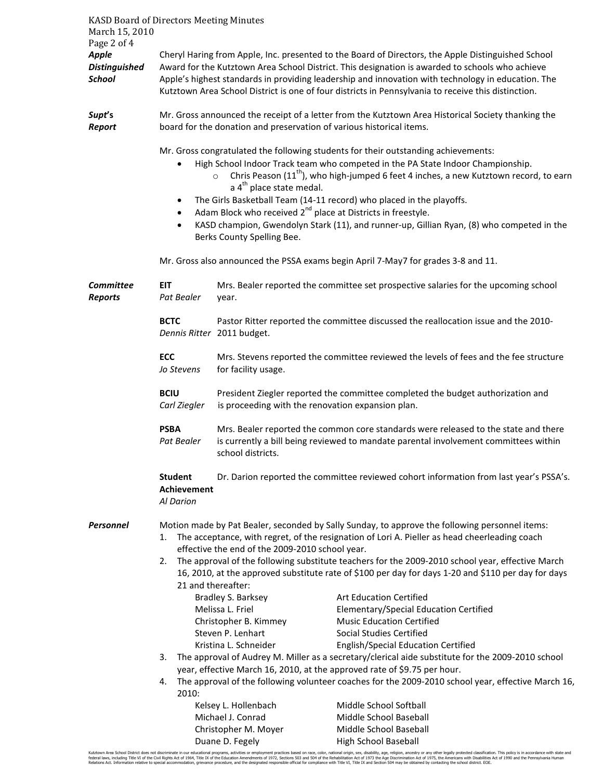| <b>KASD Board of Directors Meeting Minutes</b>        |                                                                                                                                                                                                                                                                                                                                                                    |                                                                                                                                                                                                                                                                                                                                                                                                                    |                                                                                                                                                                                                                                                                                                                                                                                                                                                                                                                             |  |  |
|-------------------------------------------------------|--------------------------------------------------------------------------------------------------------------------------------------------------------------------------------------------------------------------------------------------------------------------------------------------------------------------------------------------------------------------|--------------------------------------------------------------------------------------------------------------------------------------------------------------------------------------------------------------------------------------------------------------------------------------------------------------------------------------------------------------------------------------------------------------------|-----------------------------------------------------------------------------------------------------------------------------------------------------------------------------------------------------------------------------------------------------------------------------------------------------------------------------------------------------------------------------------------------------------------------------------------------------------------------------------------------------------------------------|--|--|
| March 15, 2010<br>Page 2 of 4                         |                                                                                                                                                                                                                                                                                                                                                                    |                                                                                                                                                                                                                                                                                                                                                                                                                    |                                                                                                                                                                                                                                                                                                                                                                                                                                                                                                                             |  |  |
| <b>Apple</b><br><b>Distinguished</b><br><b>School</b> |                                                                                                                                                                                                                                                                                                                                                                    | Cheryl Haring from Apple, Inc. presented to the Board of Directors, the Apple Distinguished School<br>Award for the Kutztown Area School District. This designation is awarded to schools who achieve<br>Apple's highest standards in providing leadership and innovation with technology in education. The<br>Kutztown Area School District is one of four districts in Pennsylvania to receive this distinction. |                                                                                                                                                                                                                                                                                                                                                                                                                                                                                                                             |  |  |
| Supt's<br><b>Report</b>                               | Mr. Gross announced the receipt of a letter from the Kutztown Area Historical Society thanking the<br>board for the donation and preservation of various historical items.                                                                                                                                                                                         |                                                                                                                                                                                                                                                                                                                                                                                                                    |                                                                                                                                                                                                                                                                                                                                                                                                                                                                                                                             |  |  |
|                                                       | $\bullet$<br>$\bullet$<br>$\bullet$<br>$\bullet$                                                                                                                                                                                                                                                                                                                   | $\circ$<br>a 4 <sup>th</sup> place state medal.<br>Berks County Spelling Bee.                                                                                                                                                                                                                                                                                                                                      | Mr. Gross congratulated the following students for their outstanding achievements:<br>High School Indoor Track team who competed in the PA State Indoor Championship.<br>Chris Peason (11 <sup>th</sup> ), who high-jumped 6 feet 4 inches, a new Kutztown record, to earn<br>The Girls Basketball Team (14-11 record) who placed in the playoffs.<br>Adam Block who received 2 <sup>nd</sup> place at Districts in freestyle.<br>KASD champion, Gwendolyn Stark (11), and runner-up, Gillian Ryan, (8) who competed in the |  |  |
|                                                       | Mr. Gross also announced the PSSA exams begin April 7-May7 for grades 3-8 and 11.                                                                                                                                                                                                                                                                                  |                                                                                                                                                                                                                                                                                                                                                                                                                    |                                                                                                                                                                                                                                                                                                                                                                                                                                                                                                                             |  |  |
| <b>Committee</b><br><b>Reports</b>                    | EIT<br>Pat Bealer                                                                                                                                                                                                                                                                                                                                                  | year.                                                                                                                                                                                                                                                                                                                                                                                                              | Mrs. Bealer reported the committee set prospective salaries for the upcoming school                                                                                                                                                                                                                                                                                                                                                                                                                                         |  |  |
|                                                       | <b>BCTC</b>                                                                                                                                                                                                                                                                                                                                                        | Dennis Ritter 2011 budget.                                                                                                                                                                                                                                                                                                                                                                                         | Pastor Ritter reported the committee discussed the reallocation issue and the 2010-                                                                                                                                                                                                                                                                                                                                                                                                                                         |  |  |
|                                                       | <b>ECC</b><br>Jo Stevens                                                                                                                                                                                                                                                                                                                                           | for facility usage.                                                                                                                                                                                                                                                                                                                                                                                                | Mrs. Stevens reported the committee reviewed the levels of fees and the fee structure                                                                                                                                                                                                                                                                                                                                                                                                                                       |  |  |
|                                                       | <b>BCIU</b><br>Carl Ziegler                                                                                                                                                                                                                                                                                                                                        | is proceeding with the renovation expansion plan.                                                                                                                                                                                                                                                                                                                                                                  | President Ziegler reported the committee completed the budget authorization and                                                                                                                                                                                                                                                                                                                                                                                                                                             |  |  |
|                                                       | <b>PSBA</b><br>Pat Bealer                                                                                                                                                                                                                                                                                                                                          | school districts.                                                                                                                                                                                                                                                                                                                                                                                                  | Mrs. Bealer reported the common core standards were released to the state and there<br>is currently a bill being reviewed to mandate parental involvement committees within                                                                                                                                                                                                                                                                                                                                                 |  |  |
|                                                       | <b>Student</b><br>Achievement<br>Al Darion                                                                                                                                                                                                                                                                                                                         |                                                                                                                                                                                                                                                                                                                                                                                                                    | Dr. Darion reported the committee reviewed cohort information from last year's PSSA's.                                                                                                                                                                                                                                                                                                                                                                                                                                      |  |  |
| <b>Personnel</b>                                      | Motion made by Pat Bealer, seconded by Sally Sunday, to approve the following personnel items:<br>The acceptance, with regret, of the resignation of Lori A. Pieller as head cheerleading coach<br>1.<br>effective the end of the 2009-2010 school year.<br>The approval of the following substitute teachers for the 2009-2010 school year, effective March<br>2. |                                                                                                                                                                                                                                                                                                                                                                                                                    |                                                                                                                                                                                                                                                                                                                                                                                                                                                                                                                             |  |  |
|                                                       | 16, 2010, at the approved substitute rate of \$100 per day for days 1-20 and \$110 per day for days<br>21 and thereafter:<br>Bradley S. Barksey<br><b>Art Education Certified</b>                                                                                                                                                                                  |                                                                                                                                                                                                                                                                                                                                                                                                                    |                                                                                                                                                                                                                                                                                                                                                                                                                                                                                                                             |  |  |
|                                                       |                                                                                                                                                                                                                                                                                                                                                                    | Melissa L. Friel<br>Christopher B. Kimmey<br>Steven P. Lenhart                                                                                                                                                                                                                                                                                                                                                     | Elementary/Special Education Certified<br><b>Music Education Certified</b><br><b>Social Studies Certified</b>                                                                                                                                                                                                                                                                                                                                                                                                               |  |  |
|                                                       | Kristina L. Schneider<br>3.                                                                                                                                                                                                                                                                                                                                        |                                                                                                                                                                                                                                                                                                                                                                                                                    | English/Special Education Certified<br>The approval of Audrey M. Miller as a secretary/clerical aide substitute for the 2009-2010 school                                                                                                                                                                                                                                                                                                                                                                                    |  |  |
|                                                       | year, effective March 16, 2010, at the approved rate of \$9.75 per hour.<br>The approval of the following volunteer coaches for the 2009-2010 school year, effective March 16,<br>4.                                                                                                                                                                               |                                                                                                                                                                                                                                                                                                                                                                                                                    |                                                                                                                                                                                                                                                                                                                                                                                                                                                                                                                             |  |  |
|                                                       | 2010:                                                                                                                                                                                                                                                                                                                                                              |                                                                                                                                                                                                                                                                                                                                                                                                                    |                                                                                                                                                                                                                                                                                                                                                                                                                                                                                                                             |  |  |
|                                                       |                                                                                                                                                                                                                                                                                                                                                                    | Kelsey L. Hollenbach                                                                                                                                                                                                                                                                                                                                                                                               | Middle School Softball                                                                                                                                                                                                                                                                                                                                                                                                                                                                                                      |  |  |
|                                                       |                                                                                                                                                                                                                                                                                                                                                                    | Michael J. Conrad                                                                                                                                                                                                                                                                                                                                                                                                  | Middle School Baseball                                                                                                                                                                                                                                                                                                                                                                                                                                                                                                      |  |  |
|                                                       |                                                                                                                                                                                                                                                                                                                                                                    | Christopher M. Moyer<br>Duane D. Fegely                                                                                                                                                                                                                                                                                                                                                                            | Middle School Baseball<br>High School Baseball                                                                                                                                                                                                                                                                                                                                                                                                                                                                              |  |  |
|                                                       |                                                                                                                                                                                                                                                                                                                                                                    |                                                                                                                                                                                                                                                                                                                                                                                                                    |                                                                                                                                                                                                                                                                                                                                                                                                                                                                                                                             |  |  |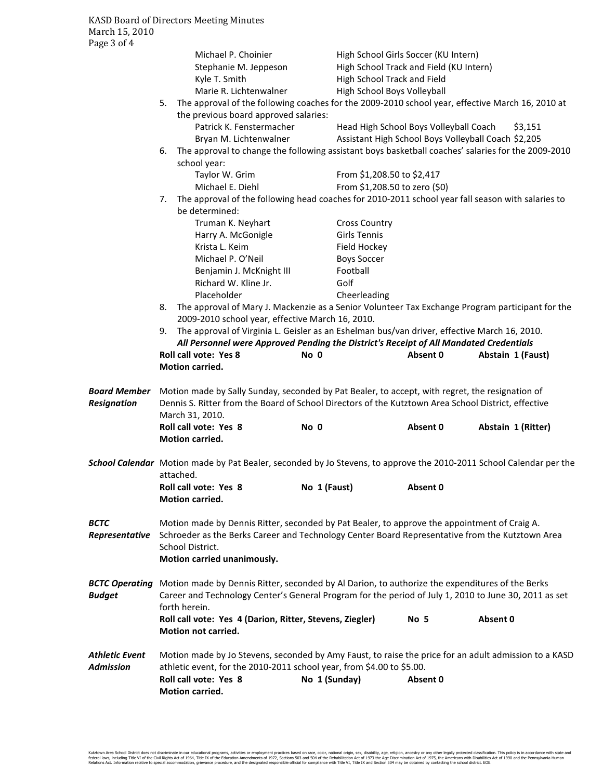| Page 3 of 4           |                                                                                                       |                                                                                                                     |               |                               |                                         |                                                     |  |
|-----------------------|-------------------------------------------------------------------------------------------------------|---------------------------------------------------------------------------------------------------------------------|---------------|-------------------------------|-----------------------------------------|-----------------------------------------------------|--|
|                       |                                                                                                       | Michael P. Choinier                                                                                                 |               |                               | High School Girls Soccer (KU Intern)    |                                                     |  |
|                       |                                                                                                       | Stephanie M. Jeppeson                                                                                               |               |                               | High School Track and Field (KU Intern) |                                                     |  |
|                       |                                                                                                       | Kyle T. Smith                                                                                                       |               | High School Track and Field   |                                         |                                                     |  |
|                       |                                                                                                       | Marie R. Lichtenwalner                                                                                              |               | High School Boys Volleyball   |                                         |                                                     |  |
|                       | 5.                                                                                                    | The approval of the following coaches for the 2009-2010 school year, effective March 16, 2010 at                    |               |                               |                                         |                                                     |  |
|                       |                                                                                                       | the previous board approved salaries:                                                                               |               |                               |                                         |                                                     |  |
|                       |                                                                                                       | Patrick K. Fenstermacher                                                                                            |               |                               | Head High School Boys Volleyball Coach  | \$3,151                                             |  |
|                       |                                                                                                       | Bryan M. Lichtenwalner                                                                                              |               |                               |                                         | Assistant High School Boys Volleyball Coach \$2,205 |  |
|                       | 6.                                                                                                    | The approval to change the following assistant boys basketball coaches' salaries for the 2009-2010                  |               |                               |                                         |                                                     |  |
|                       | school year:                                                                                          |                                                                                                                     |               |                               |                                         |                                                     |  |
|                       |                                                                                                       | Taylor W. Grim                                                                                                      |               | From \$1,208.50 to \$2,417    |                                         |                                                     |  |
|                       |                                                                                                       | Michael E. Diehl                                                                                                    |               | From \$1,208.50 to zero (\$0) |                                         |                                                     |  |
|                       | 7.                                                                                                    | The approval of the following head coaches for 2010-2011 school year fall season with salaries to                   |               |                               |                                         |                                                     |  |
|                       | be determined:                                                                                        |                                                                                                                     |               |                               |                                         |                                                     |  |
|                       |                                                                                                       | Truman K. Neyhart                                                                                                   |               | <b>Cross Country</b>          |                                         |                                                     |  |
|                       |                                                                                                       | Harry A. McGonigle                                                                                                  |               | Girls Tennis                  |                                         |                                                     |  |
|                       |                                                                                                       | Krista L. Keim                                                                                                      |               | Field Hockey                  |                                         |                                                     |  |
|                       |                                                                                                       | Michael P. O'Neil                                                                                                   |               | <b>Boys Soccer</b>            |                                         |                                                     |  |
|                       |                                                                                                       | Benjamin J. McKnight III                                                                                            |               | Football                      |                                         |                                                     |  |
|                       |                                                                                                       | Richard W. Kline Jr.                                                                                                |               | Golf                          |                                         |                                                     |  |
|                       |                                                                                                       | Placeholder                                                                                                         |               | Cheerleading                  |                                         |                                                     |  |
|                       | 8.                                                                                                    | The approval of Mary J. Mackenzie as a Senior Volunteer Tax Exchange Program participant for the                    |               |                               |                                         |                                                     |  |
|                       |                                                                                                       | 2009-2010 school year, effective March 16, 2010.                                                                    |               |                               |                                         |                                                     |  |
|                       | 9.                                                                                                    | The approval of Virginia L. Geisler as an Eshelman bus/van driver, effective March 16, 2010.                        |               |                               |                                         |                                                     |  |
|                       |                                                                                                       | All Personnel were Approved Pending the District's Receipt of All Mandated Credentials                              |               |                               |                                         |                                                     |  |
|                       | <b>Roll call vote: Yes 8</b>                                                                          |                                                                                                                     | No 0          |                               | Absent 0                                | Abstain 1 (Faust)                                   |  |
|                       | Motion carried.                                                                                       |                                                                                                                     |               |                               |                                         |                                                     |  |
|                       |                                                                                                       |                                                                                                                     |               |                               |                                         |                                                     |  |
| Board Member          |                                                                                                       | Motion made by Sally Sunday, seconded by Pat Bealer, to accept, with regret, the resignation of                     |               |                               |                                         |                                                     |  |
| Resignation           |                                                                                                       | Dennis S. Ritter from the Board of School Directors of the Kutztown Area School District, effective                 |               |                               |                                         |                                                     |  |
|                       | March 31, 2010.                                                                                       |                                                                                                                     |               |                               |                                         |                                                     |  |
|                       | <b>Roll call vote: Yes 8</b>                                                                          |                                                                                                                     | No 0          |                               | Absent 0                                | Abstain 1 (Ritter)                                  |  |
|                       | Motion carried.                                                                                       |                                                                                                                     |               |                               |                                         |                                                     |  |
|                       |                                                                                                       |                                                                                                                     |               |                               |                                         |                                                     |  |
|                       |                                                                                                       | School Calendar Motion made by Pat Bealer, seconded by Jo Stevens, to approve the 2010-2011 School Calendar per the |               |                               |                                         |                                                     |  |
|                       | attached.                                                                                             |                                                                                                                     |               |                               |                                         |                                                     |  |
|                       | Roll call vote: Yes 8                                                                                 |                                                                                                                     | No 1 (Faust)  |                               | Absent 0                                |                                                     |  |
|                       | Motion carried.                                                                                       |                                                                                                                     |               |                               |                                         |                                                     |  |
|                       |                                                                                                       |                                                                                                                     |               |                               |                                         |                                                     |  |
| BCTC                  |                                                                                                       | Motion made by Dennis Ritter, seconded by Pat Bealer, to approve the appointment of Craig A.                        |               |                               |                                         |                                                     |  |
| Representative        |                                                                                                       | Schroeder as the Berks Career and Technology Center Board Representative from the Kutztown Area                     |               |                               |                                         |                                                     |  |
|                       | School District.                                                                                      |                                                                                                                     |               |                               |                                         |                                                     |  |
|                       |                                                                                                       | Motion carried unanimously.                                                                                         |               |                               |                                         |                                                     |  |
|                       |                                                                                                       |                                                                                                                     |               |                               |                                         |                                                     |  |
| <b>BCTC Operating</b> |                                                                                                       | Motion made by Dennis Ritter, seconded by Al Darion, to authorize the expenditures of the Berks                     |               |                               |                                         |                                                     |  |
| Budget                |                                                                                                       | Career and Technology Center's General Program for the period of July 1, 2010 to June 30, 2011 as set               |               |                               |                                         |                                                     |  |
|                       | forth herein.                                                                                         |                                                                                                                     |               |                               |                                         |                                                     |  |
|                       |                                                                                                       | Roll call vote: Yes 4 (Darion, Ritter, Stevens, Ziegler)                                                            |               |                               | No 5                                    | Absent 0                                            |  |
|                       | Motion not carried.                                                                                   |                                                                                                                     |               |                               |                                         |                                                     |  |
|                       |                                                                                                       |                                                                                                                     |               |                               |                                         |                                                     |  |
| Athletic Event        | Motion made by Jo Stevens, seconded by Amy Faust, to raise the price for an adult admission to a KASD |                                                                                                                     |               |                               |                                         |                                                     |  |
| Admission             | athletic event, for the 2010-2011 school year, from \$4.00 to \$5.00.                                 |                                                                                                                     |               |                               |                                         |                                                     |  |
|                       | Roll call vote: Yes 8                                                                                 |                                                                                                                     | No 1 (Sunday) |                               | Absent 0                                |                                                     |  |
|                       | Motion carried.                                                                                       |                                                                                                                     |               |                               |                                         |                                                     |  |
|                       |                                                                                                       |                                                                                                                     |               |                               |                                         |                                                     |  |